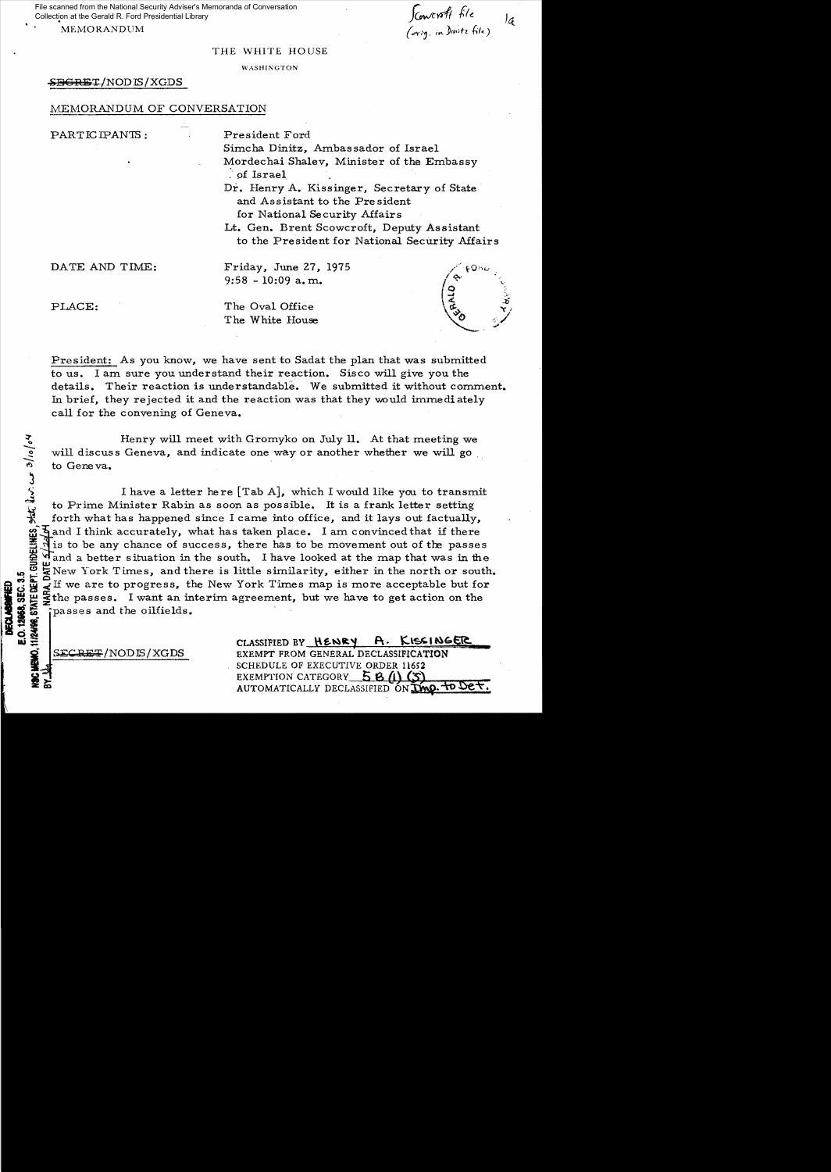File scanned from the National Security Adviser's Memoranda of Conversation Collection at the Gerald R. Ford Presidential Library

*f&wr:di itt:* let MEMORANDUM (*orig.* in )Inite file)

## THE WHITE HOUSE

### WASHIKGTON

## $S$ BGRET/NODIS/XGDS

## MEMORANDUM OF CONVERSATION

PARTICIPANTS: President Ford

Simcha Dinitz, Ambassador of Israel Mordechai Shalev, Minister of the Embassy ~. pf Israel

Dr. Henry A. Kissinger, Secretary of State and Assistant to the Pre sident for National Security Affairs

Lt. Gen. Brent Scowcroft, Deputy Assistant to the President for National Security Affairs

DATE AND TIME: Friday, June 27, 1975 9:58 - 10:09 a. m.

**11/2498, STATE DEPT. GUIDELINES.** Stat. dev. cur. 3/10/04

PLACE: The Oval Office The White House



President: As you know, we have sent to Sadat the plan that was submitted to us. I am sure you understand their reaction. Sisco will give you the details. Their reaction is understandable. We submitted it without comment. In brief, they rejected it and the reaction was that they would immediately call for the convening of Geneva.

Henry will meet with Gromyko on July 11. At that meeting we will discuss Geneva, and indicate one way or another whether we will go to Geneva.

I have a letter here  $[Tab A]$ , which I would like you to transmit to Prime Minister Rabin as soon as possible. It is a frank letter setting forth what has happened since I came into office, and it lays out factually,  $\overline{3}$  and I think accurately, what has taken place. I am convinced that if there is to be any chance of success, there has to be movement out of the passes  $\frac{10}{10}$  and a better situation in the south. I have looked at the map that was in the  $U_i = \sum_{i=1}^{N}$  New York Times, and there is little similarity, either in the north or south.<br>  $U_i = \sum_{i=1}^{N}$  If we are to progress, the New York Times map is more acceptable but for<br>  $U_i = \sum_{i=1}^{N}$  The passes. I want a  $\frac{1}{2}$   $\frac{1}{2}$  or  $\frac{1}{2}$  If we are to progress, the New York Times map is more acceptable but for  $\frac{1}{2}$  the passes. I want an interim agreement, but we have to get action on the  $\frac{1}{2}$  passes and the oilfie where passes. I want an interim agreement, but we have to get action on the i passes and the oilfields.

de international international international international extending of the New York's Line Control 1. Kissing C<br>CLASSIFIED BY HENRY A. KISSINGER S<del>ECRET</del>/NODIS/XGDS EXEMPT FROM GENERAL DECLASSIFICATION SCHEDULE OF EXECUTIVE ORDER 11652 EXEMPTION CATEGORY  $58/1$   $(5)$ AUTOMATICALLY DECLASSIFIED ON TWO. TO DET.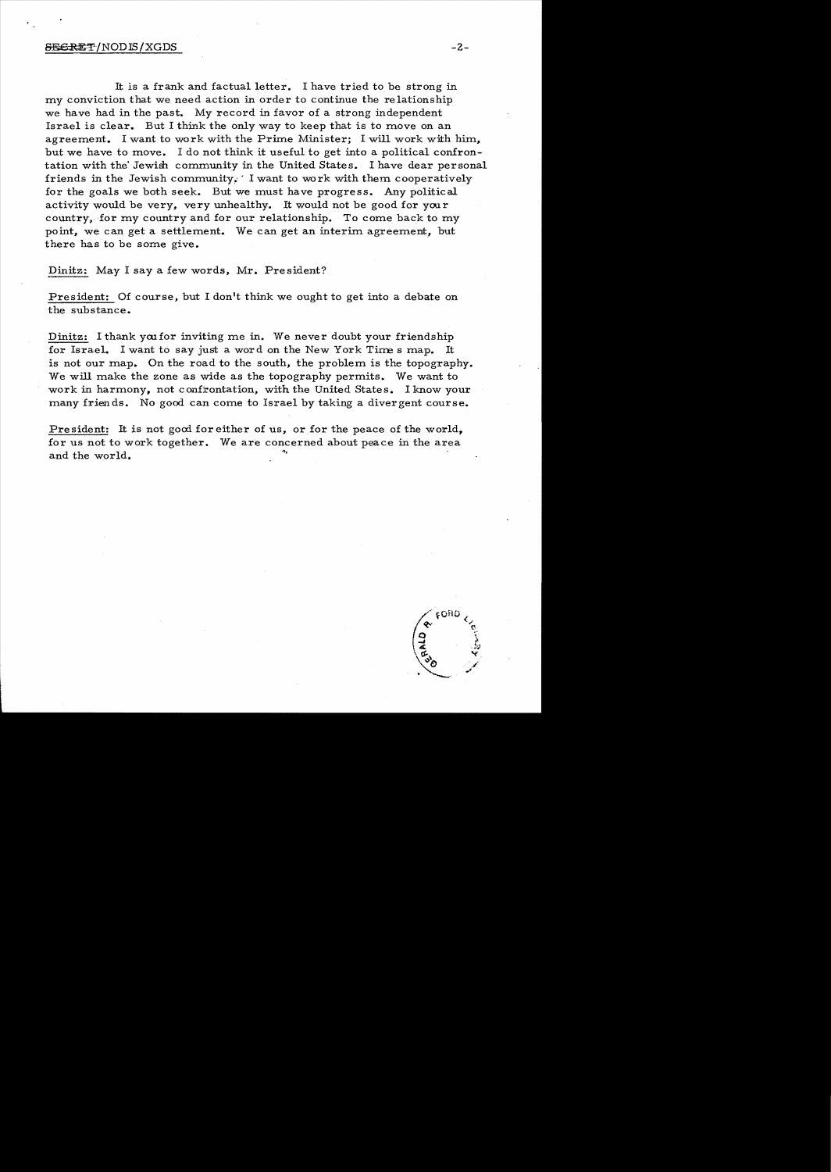It is a frank and factual letter. I have tried to be strong in my conviction that we need action in order to continue the re lations hip we have had in the past. My record in favor of a strong independent Israel is clear.. But I think the only way to keep that is to move on an agreement. I want to work with the Prime Minister; I will work with him, but we have to move. I do not think it useful to get into a political confrontation with the' Jewish community in the United States. I have dear personal friends in the Jewish community.' I want to wo rk with them cooperatively for the goals we both seek. But we must have progress. Any political activity would be very, very unhealthy. It would not be good for your country, for my country and for our relationship. To come back to my point, we can get a settlement. We can get an interim agreement, but there has to be some give.

Dinitz: May I say a few words, Mr. President?

President: Of course, but I don't think we ought to get into a debate on the substance.

Dinitz: I thank you for inviting me in. We never doubt your friendship for Israel. I want to say just a word on the New York Time s map. is not our map. On the road to the south, the problem is the topography. We will make the zone as wide as the topography permits. We want to work in harmony, not confrontation, with the United States. I know your many friends. No good can come to Israel by taking a divergent course.

President: It is not good for either of us, or for the peace of the world, for us not to work together. We are concerned about peace in the area and the world.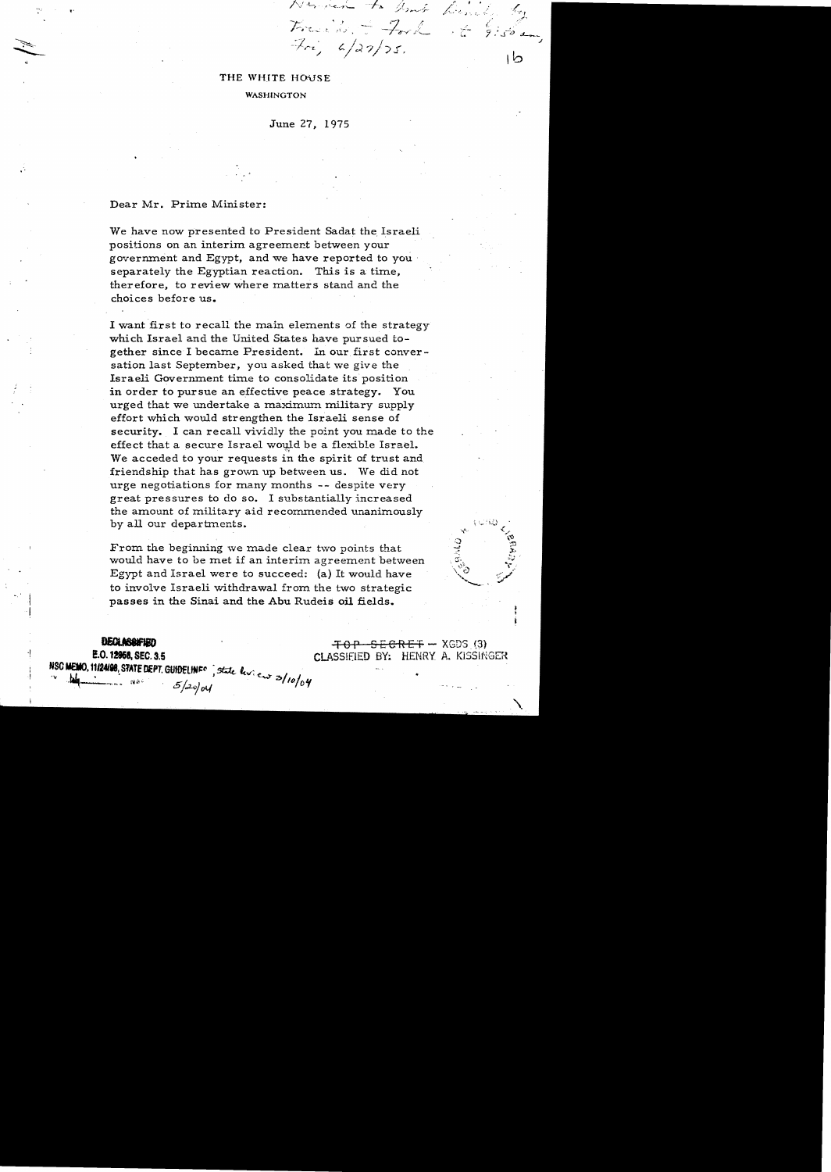# THE WHITE HOUSE

## **WASHINGTON**

June 27, 1975

 $7\pi$ ,  $4/22/25$ .

.I

 $6.96$  am

ط١

## Dear Mr. Prime Minister:

We have now presented to President Sadat the Israeli positions on an interim agreement between your government and Egypt, and we have reported to you separately the Egyptian reaction. This is a time, therefore, to review where matters stand and the choices before us.

I want first to recall the main elements of the strategy which Israel and the United States have pursued together since I became President. In our first conversation last September, you asked that we give the Israeli Government time to consolidate its position in order to pursue an effective peace strategy. You urged that we undertake a maximum military supply effort which would strengthen the Israeli sense of security. I can recall vividly the point you made to the effect that a secure Israel would be a flexible Israel. We acceded to your requests in the spirit of trust and friendship that has grown up between us. We did not urge negotiations for many months -- despite very great pressures to do so. I substantially increased the amount of military aid recommended unanimously by all our departments.

From the beginning we made clear two points that would have to be met if an interim agreement between Egypt and Israel were to succeed: (a) It would have to involve Israeli withdrawal from the two strategic passes in the Sinai and the Abu Rudeis oil fields.

I

~~ ~.'!124188~ SfATf DEPT. GUtOElfNj:(' ;st.k ltv: 2>/ *,I*  ."-'\_..... Ni,; . 6/..:2..0)01,,{ fOlD'!

**DECLASSIFIED .**<br>**E.O. 12968, SEC. 3.5 CLASSIFIED BY: HENRY A. KISSINGER**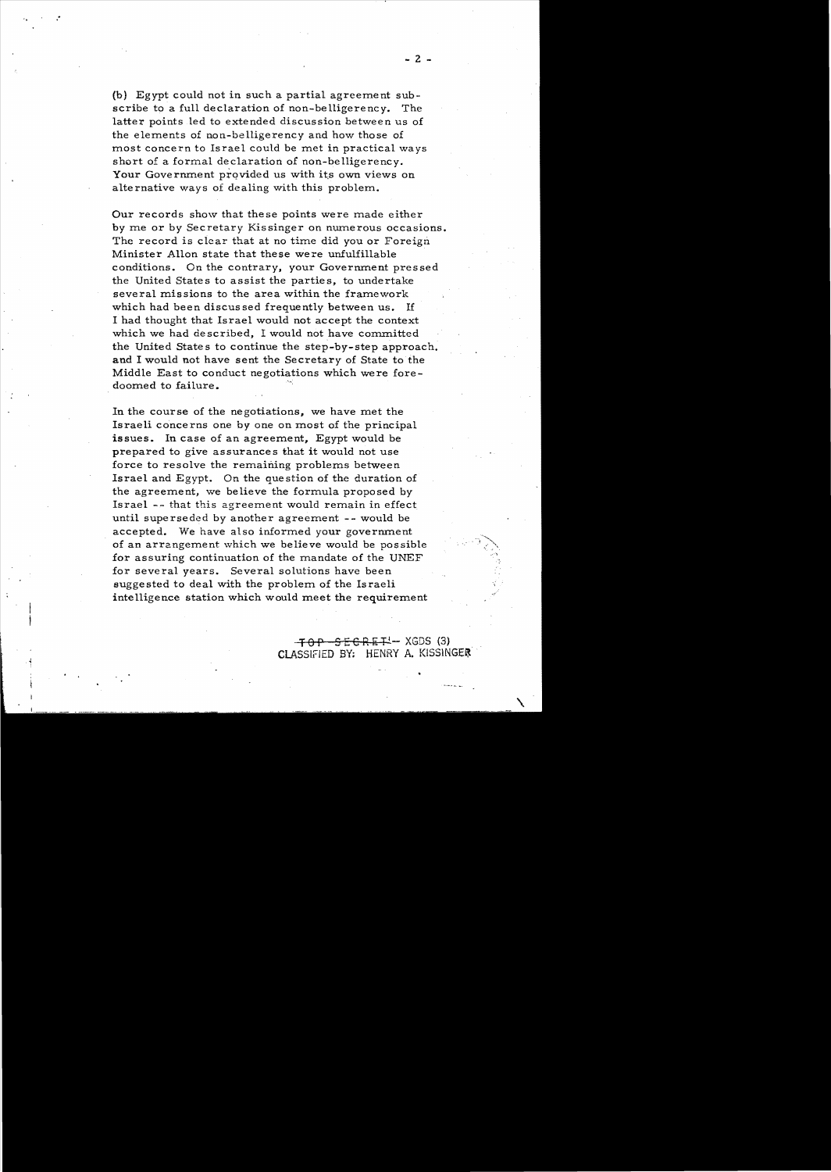(b) Egypt could not in such a partial agreement subscribe to a full declaration of non-belligerency. The latter points led to extended discussion between us of the elements of non-belligerency and how those of most concern to Israel could be met in practical ways short of a formal declaration of non-belligerency. Your Government provided us with its own views on alternative ways of dealing with this problem.

Our records show that these points were made either by me or by Secretary Kissinger on numerous occasions. The record is clear that at no time did you or Foreign Minister Allon state that these were unfulfillable conditions. On the contrary, your Government pressed the United States to assist the parties, to undertake several missions to the area within the framework which had been discussed frequently between us. If I had thought that Israel would not accept the context which we had described, I would not have committed the United States to continue the step-by-step approach. and I would not have sent the Secretary of State to the Middle East to conduct negotiations which were foredoomed to failure.

In the course of the negotiations, we have met the Israeli concerns one by one on most of the principal issues. In case of an agreement, Egypt would be prepared to give assurances that it would not use force to resolve the remaining problems between Israel and Egypt. On the question of the duration of the agreement, we believe the formula proposed by Israel -- that this agreement would remain in effect until superseded by another agreement -- would be accepted. We have also informed your government of an arrangement which we believe would be possible for assuring continuation of the mandate of the UNEF for several years. Several solutions have been suggested to deal with the problem of the Israeli intelligence station which would meet the requirement

\ ,

 $-70P - 5EGRE + 1 - XGDS$  (3) CLASSIFIED BY: HENRY A. KISSINGER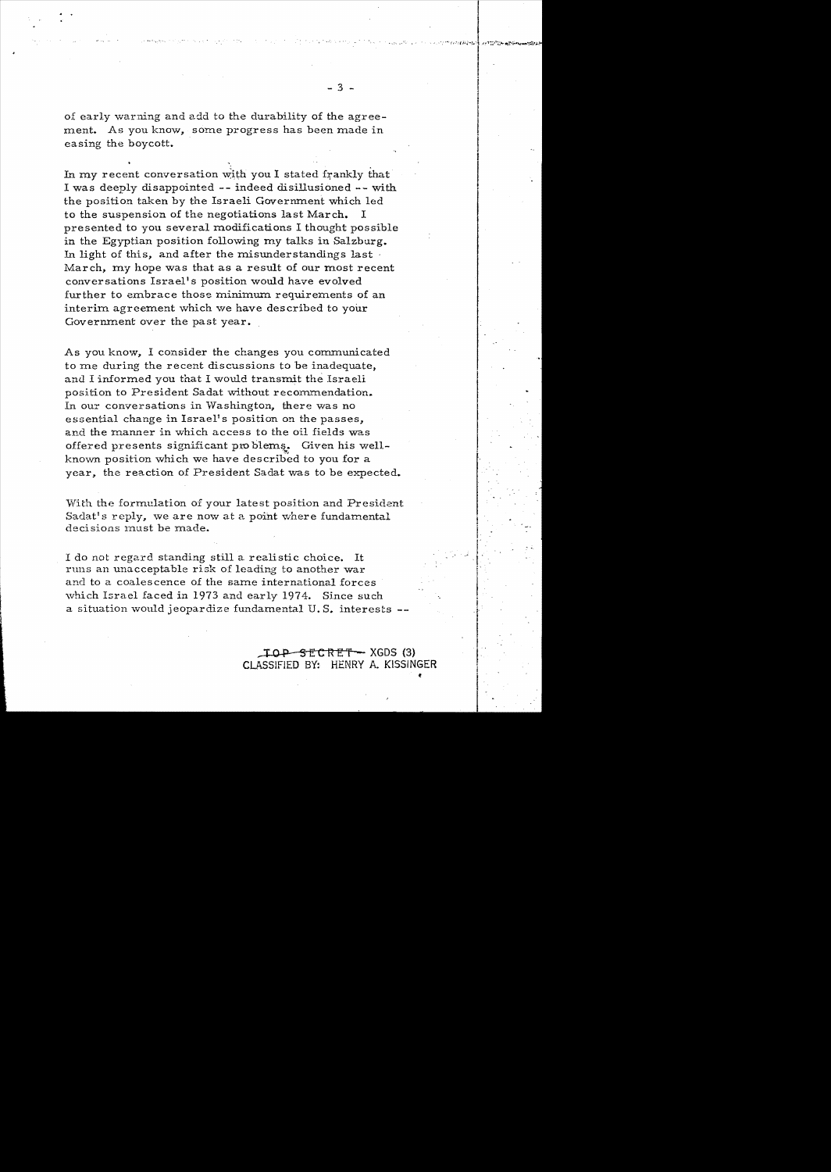$-3 -$ 

of early warning and add to the durability of the agreement. As you know, some progress has been made in easing the boycott.

In my recent conversation with you I stated frankly that I was deeply disappointed **--** indeed disillusioned -- with the position taken by the Israeli Government which led to the suspension of the negotiations last March. I presented to you several modifications I thought possible in the Egyptian position following my talks in Salzburg. In light of this, and after the misunderstandings last  $\cdot$ March, my hope was that as a result of our most recent conversations Israel's position would have evolved further to embrace those minimum requirements of an interim agreement which we have des cribed to your Government over the past year.

As you know, I consider the changes you communicated to me during the recent discussions to be inadequate. and I informed you that I would transmit the Israeli position to President Sadat without recommendation. In our conversations in Washington, there was no essential change in Israel's position on the passes, and the manner in which access to the oil fields was offered presents significant pro blems. Given his wellknown position which we have described to you for a year, the reaction of President Sadat was to be expected.

With the formulation of your latest position and President Sadat's reply, we are now at a point where fundamental decisions must be made.

I do not regard standing still a realistic choice. It runs an unacceptable risk of leading to another war and to a coales cence of the same international forces which Israel faced in 1973 and early 1974. Since such a situation would jeopardize fundamental U.S. interests --

> $\text{LOP}-\text{SECRET}-XGDS(3)$ CLASSIFIED BY: HENRY A. KISSINGER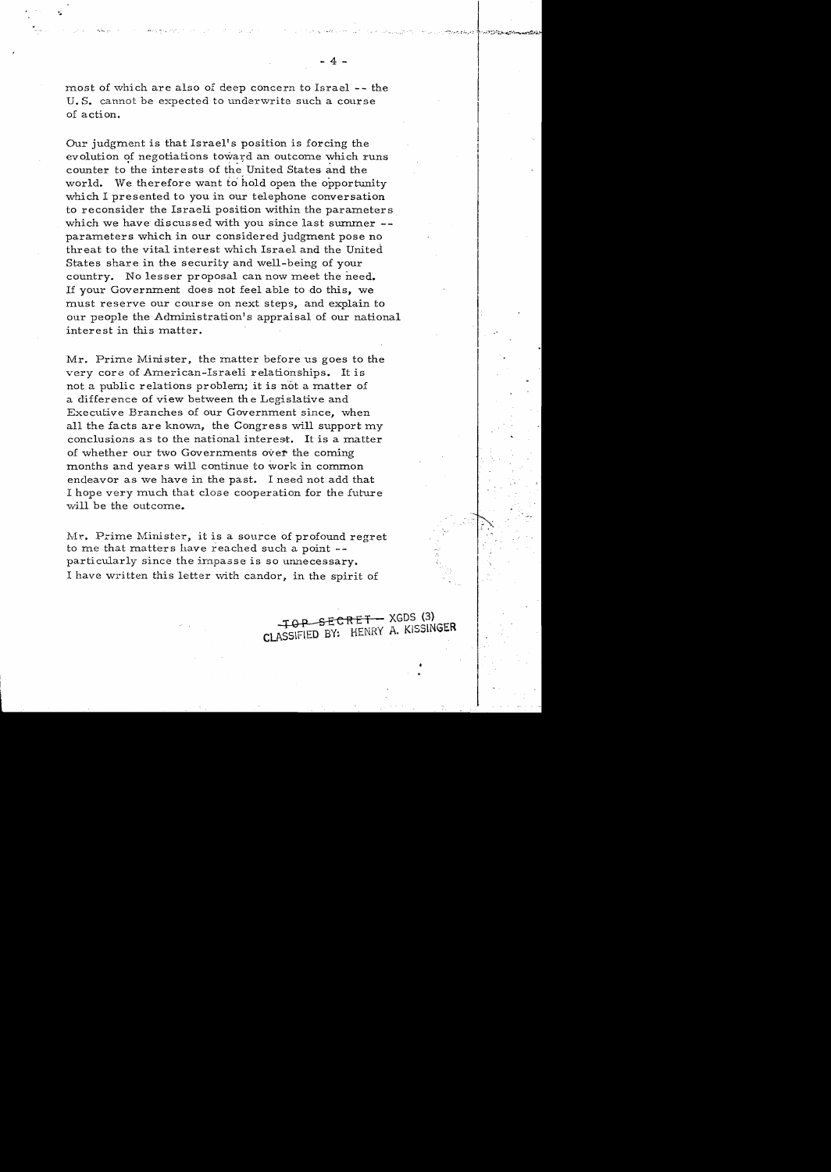most of which are also of deep concern to Israel -- the U. S. cannot be expected to underwrite such a course of action.

Our judgment is that Israel's position is forcing the evolution of negotiations toward an outcome which runs counter to the interests of the United States and the world. We therefore want to hold open the opportunity which I presented to you in our telephone conversation to reconsider the Israeli position within the parameters which we have discussed with you since last summer -parameters which in our considered judgment pose no threat to the vital interest which Israel and the United States share in the security and well-being of your country. No lesser proposal can now meet the need. If your Government does not feel able to do this, we must reserve our course on next steps, and explain to our people the Administration's appraisal of our national interest in this matter.

Mr. Prime Minister, the matter before us goes to the very core of American-Israeli relationships. It is not a public relations problem; it is not a matter of a difference of view between the Legislative and Executive Branches of our Government since, when all the facts are known, the Congress will support my conclusions as to the national interest. It is a matter of whether our two Governments over the coming months and years will continue to work in common endeavor as we have in the past. I need not add that I hope very much that close cooperation for the future will be the outcome.

Mr. Prime Minister, it is a source of profound regret to me that matters have reached such a point -particularly since the impasse is so unnecessary. I have written this letter with candor, in the spirit of

> TOP SECRET - XGDS (3) CLASSIFIED BY. HENRY A. KISSINGER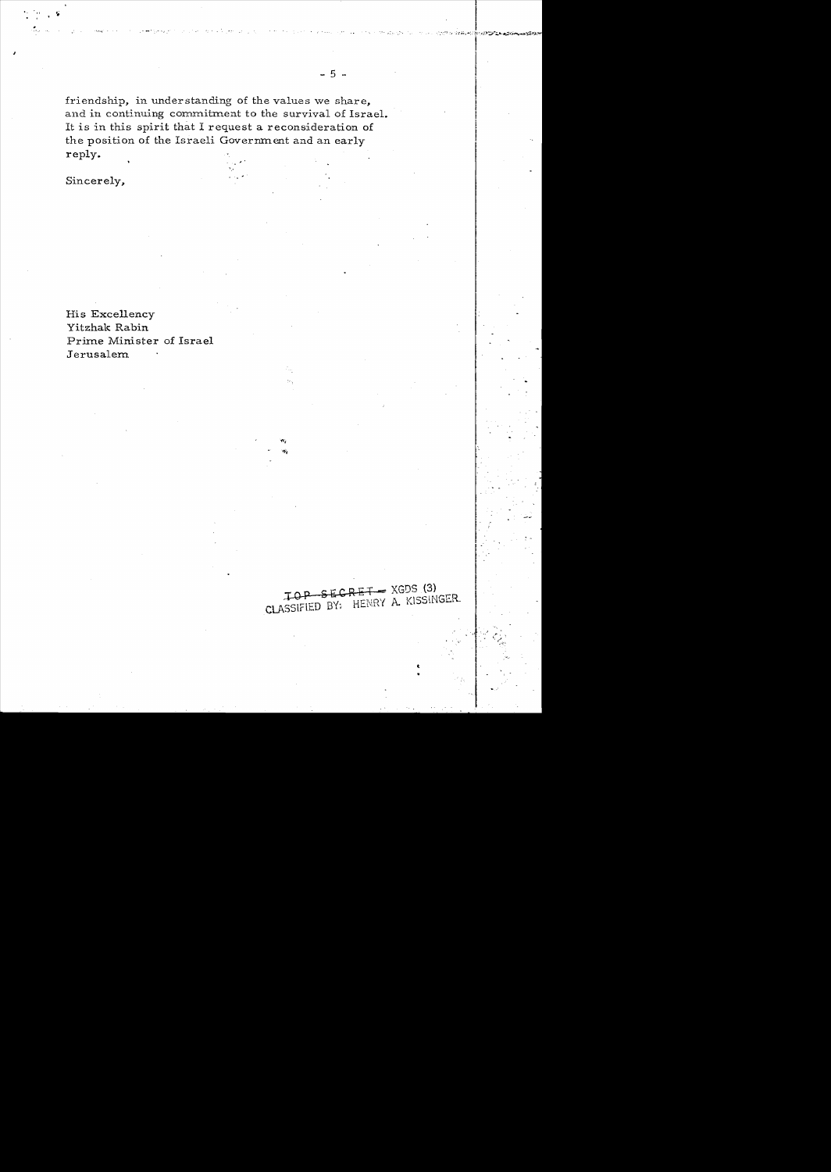friendship, in understanding of the values we share, and in continuing commitment to the survival of Israel. It is in this spirit that I request a reconsideration of the position of the Israeli Government and an early reply.

Sincerely,

His Excellency Yitzhak Rabin Prime Minister of Israel Jerusalem

TOP SECRET - XGDS (3) CLASSIFIED BY: HENRY A. KISSINGER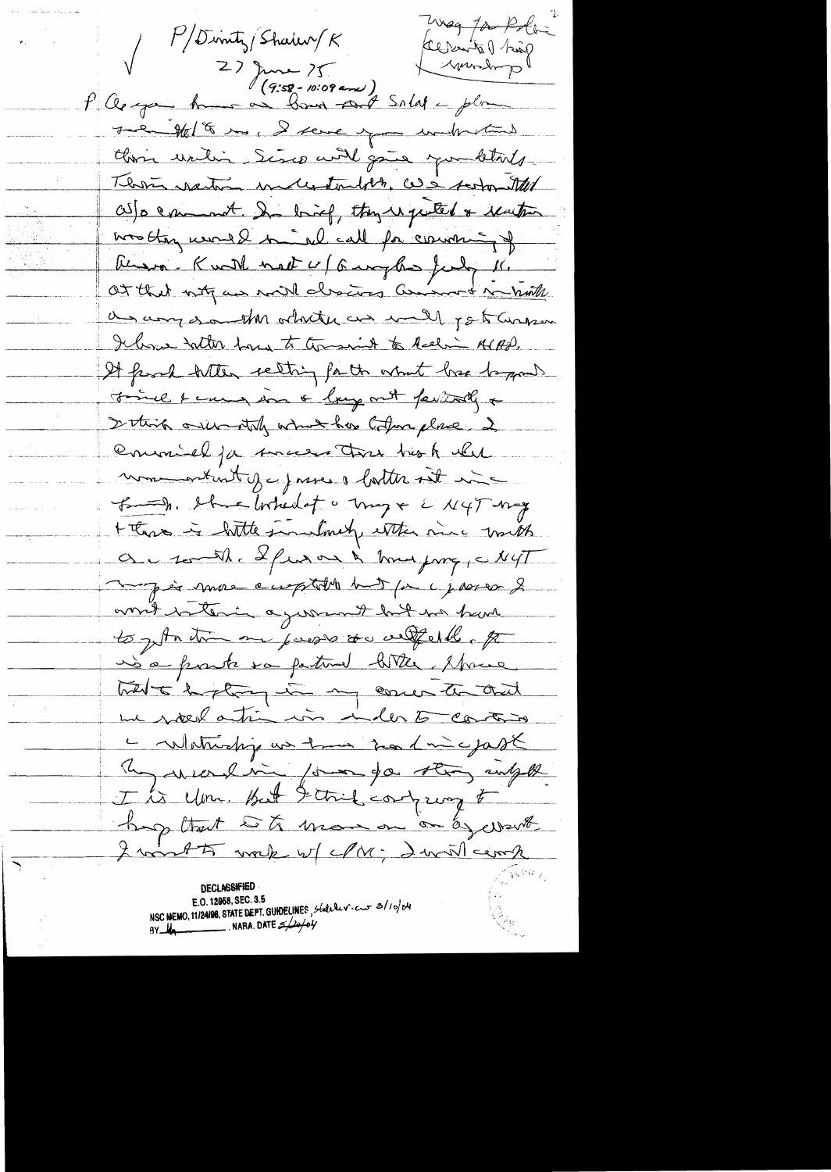Wag for Rolling  $P/D$ inty/Shaler/ $K$ factual prince V 2) June 75 Liverdorp The Me 18 mg, I serve you without this until Sisco will gain you betals There want melletouth, we seem that as a comment they they were the reaction was they would be all call for comming of Russo-Knott nort 4/6 mghs forty 16. a any south ochity as well pot answer I hove talk how to torsaint to Reeling AIAD. It from with setting for the what lose begans Finel & cause in a large mit fastall a I think orien they which has today place 2 Commelja success that his A while mon attentify prices botter it in B-h. She Inhedot & may + L'N4T-may + these is little similarly extensive mith au south afrom a town profil NyT This more emptation but for a journ of ans hater agreement but no had to get the me passes as alfered, po is a posite va partire bitter Marie hit is the most of the theories un poed atin in inder to continu Le culaturalité un tous son l'incepast Regueralin formanda strong intelle hop that with man on a want I wint to wake w/ M; I will comp  $\zeta$ S $\tilde{\nu}_{\chi}$ 

**DECLASSIFIE!** E.O. 12958, SEC. 3.5 NSC MEMO, 11/24/98, STATE DEPT. GUHDELINES, Statelericar 3/10/04 BY  $\frac{1}{\sqrt{2}}$ . NARA. DATE  $\approx$   $\frac{1}{\sqrt{6}}$